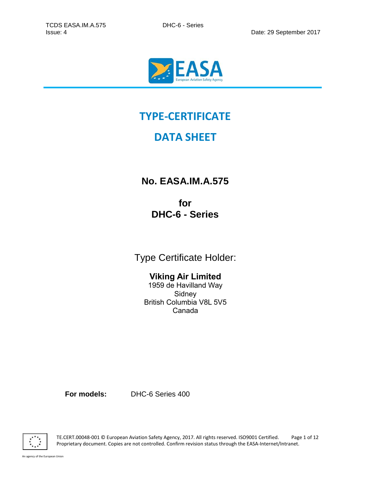

# **TYPE-CERTIFICATE**

## **DATA SHEET**

**No. EASA.IM.A.575**

**for DHC-6 - Series**

Type Certificate Holder:

## **Viking Air Limited**

1959 de Havilland Way Sidney British Columbia V8L 5V5 Canada

**For models:** DHC-6 Series 400



TE.CERT.00048-001 © European Aviation Safety Agency, 2017. All rights reserved. ISO9001 Certified. Page 1 of 12 Proprietary document. Copies are not controlled. Confirm revision status through the EASA-Internet/Intranet.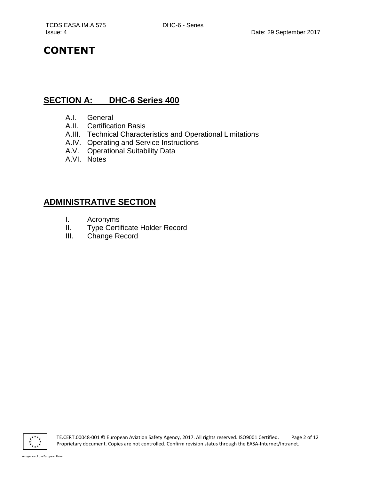## **CONTENT**

### **SECTION A: DHC-6 Series 400**

- A.I. General
- A.II. Certification Basis
- A.III. Technical Characteristics and Operational Limitations
- A.IV. Operating and Service Instructions
- A.V. Operational Suitability Data
- A.VI. Notes

## **ADMINISTRATIVE SECTION**

- I. Acronyms
- II. Type Certificate Holder Record
- III. Change Record

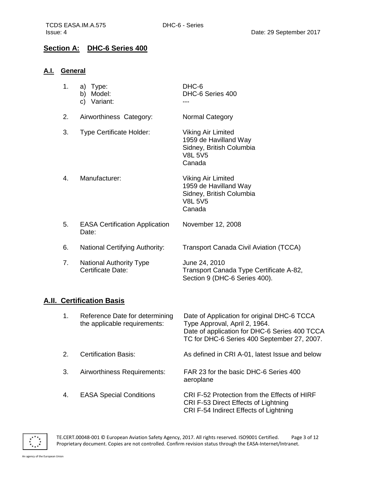#### **Section A: DHC-6 Series 400**

#### **A.I. General**

| 1. | a)<br>Type:<br>b)<br>Model:<br>Variant:<br>C)       | DHC-6<br>DHC-6 Series 400                                                                                  |
|----|-----------------------------------------------------|------------------------------------------------------------------------------------------------------------|
| 2. | Airworthiness Category:                             | Normal Category                                                                                            |
| 3. | <b>Type Certificate Holder:</b>                     | <b>Viking Air Limited</b><br>1959 de Havilland Way<br>Sidney, British Columbia<br><b>V8L 5V5</b><br>Canada |
| 4. | Manufacturer:                                       | <b>Viking Air Limited</b><br>1959 de Havilland Way<br>Sidney, British Columbia<br><b>V8L 5V5</b><br>Canada |
| 5. | <b>EASA Certification Application</b><br>Date:      | November 12, 2008                                                                                          |
| 6. | <b>National Certifying Authority:</b>               | <b>Transport Canada Civil Aviation (TCCA)</b>                                                              |
| 7. | <b>National Authority Type</b><br>Certificate Date: | June 24, 2010<br>Transport Canada Type Certificate A-82,<br>Section 9 (DHC-6 Series 400).                  |

#### **A.II. Certification Basis**

| 1. | Reference Date for determining<br>the applicable requirements: | Date of Application for original DHC-6 TCCA<br>Type Approval, April 2, 1964.<br>Date of application for DHC-6 Series 400 TCCA<br>TC for DHC-6 Series 400 September 27, 2007. |
|----|----------------------------------------------------------------|------------------------------------------------------------------------------------------------------------------------------------------------------------------------------|
| 2. | <b>Certification Basis:</b>                                    | As defined in CRI A-01, latest Issue and below                                                                                                                               |
| 3. | Airworthiness Requirements:                                    | FAR 23 for the basic DHC-6 Series 400<br>aeroplane                                                                                                                           |
| 4. | <b>EASA Special Conditions</b>                                 | CRI F-52 Protection from the Effects of HIRF<br>CRI F-53 Direct Effects of Lightning<br>CRI F-54 Indirect Effects of Lightning                                               |



TE.CERT.00048-001 © European Aviation Safety Agency, 2017. All rights reserved. ISO9001 Certified. Page 3 of 12 Proprietary document. Copies are not controlled. Confirm revision status through the EASA-Internet/Intranet.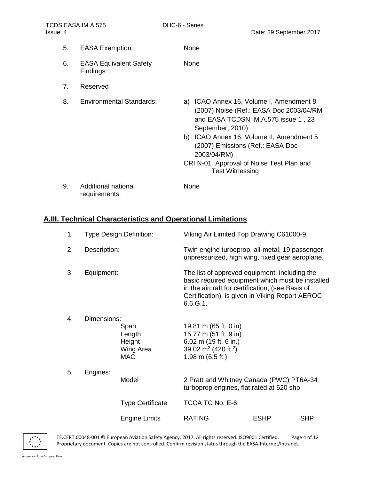5. EASA Exemption: None 6. EASA Equivalent Safety Findings: None 7. Reserved 8. Environmental Standards: a) ICAO Annex 16, Volume I, Amendment 8 (2007) Noise (Ref.: EASA Doc 2003/04/RM and EASA TCDSN IM.A.575 issue 1 , 23 September, 2010) b) ICAO Annex 16, Volume II, Amendment 5 (2007) Emissions (Ref.: EASA Doc 2003/04/RM) CRI N-01 Approval of Noise Test Plan and Test Witnessing 9. Additional national requirements: None

#### **A.III. Technical Characteristics and Operational Limitations**

| 1.                      | Type Design Definition:                                            |                                                                                       | Viking Air Limited Top Drawing C61000-9.                                                                                                                                                                             |             |            |
|-------------------------|--------------------------------------------------------------------|---------------------------------------------------------------------------------------|----------------------------------------------------------------------------------------------------------------------------------------------------------------------------------------------------------------------|-------------|------------|
| 2.                      | Description:                                                       |                                                                                       | Twin engine turboprop, all-metal, 19 passenger,<br>unpressurized, high wing, fixed gear aeroplane.                                                                                                                   |             |            |
| 3.                      | Equipment:                                                         |                                                                                       | The list of approved equipment, including the<br>basic required equipment which must be installed<br>in the aircraft for certification, (see Basis of<br>Certification), is given in Viking Report AEROC<br>6.6.G.1. |             |            |
| 4.                      | Dimensions:<br>Span<br>Length<br>Height<br>Wing Area<br><b>MAC</b> |                                                                                       | 19.81 m (65 ft. 0 in)<br>15.77 m (51 ft. 9 in)<br>6.02 m (19 ft. 6 in.)<br>39.02 m <sup>2</sup> (420 ft. <sup>2</sup> )<br>1.98 m $(6.5 ft.)$                                                                        |             |            |
| 5.<br>Engines:<br>Model |                                                                    | 2 Pratt and Whitney Canada (PWC) PT6A-34<br>turboprop engines, flat rated at 620 shp. |                                                                                                                                                                                                                      |             |            |
|                         |                                                                    | <b>Type Certificate</b>                                                               | TCCA TC No. E-6                                                                                                                                                                                                      |             |            |
|                         |                                                                    | <b>Engine Limits</b>                                                                  | <b>RATING</b>                                                                                                                                                                                                        | <b>ESHP</b> | <b>SHP</b> |



TE.CERT.00048-001 © European Aviation Safety Agency, 2017. All rights reserved. ISO9001 Certified. Page 4 of 12 Proprietary document. Copies are not controlled. Confirm revision status through the EASA-Internet/Intranet.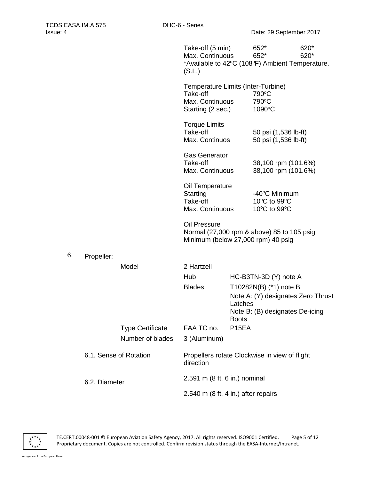|    |               |                         | Take-off (5 min)<br>Max. Continuous<br>*Available to 42°C (108°F) Ambient Temperature.<br>(S.L.)        |                                                                                                                            | 652*<br>652*                                  | 620*<br>620* |
|----|---------------|-------------------------|---------------------------------------------------------------------------------------------------------|----------------------------------------------------------------------------------------------------------------------------|-----------------------------------------------|--------------|
|    |               |                         | Temperature Limits (Inter-Turbine)<br>Take-off<br>Max. Continuous<br>Starting (2 sec.)                  |                                                                                                                            | 790°C<br>790°C<br>1090°C                      |              |
|    |               |                         | <b>Torque Limits</b><br>Take-off<br>Max. Continuos                                                      |                                                                                                                            | 50 psi (1,536 lb-ft)<br>50 psi (1,536 lb-ft)  |              |
|    |               |                         | <b>Gas Generator</b><br>Take-off<br>Max. Continuous                                                     |                                                                                                                            | 38,100 rpm (101.6%)<br>38,100 rpm (101.6%)    |              |
|    |               |                         | Oil Temperature<br>Starting<br>Take-off<br>Max. Continuous                                              |                                                                                                                            | -40°C Minimum<br>10°C to 99°C<br>10°C to 99°C |              |
|    |               |                         | <b>Oil Pressure</b><br>Normal (27,000 rpm & above) 85 to 105 psig<br>Minimum (below 27,000 rpm) 40 psig |                                                                                                                            |                                               |              |
| 6. | Propeller:    |                         |                                                                                                         |                                                                                                                            |                                               |              |
|    |               | Model                   | 2 Hartzell                                                                                              |                                                                                                                            |                                               |              |
|    |               |                         | Hub                                                                                                     |                                                                                                                            | HC-B3TN-3D (Y) note A                         |              |
|    |               |                         | <b>Blades</b>                                                                                           | T10282N(B) (*1) note B<br>Note A: (Y) designates Zero Thrust<br>Latches<br>Note B: (B) designates De-icing<br><b>Boots</b> |                                               |              |
|    |               | <b>Type Certificate</b> | FAA TC no.                                                                                              | P <sub>15</sub> EA                                                                                                         |                                               |              |
|    |               | Number of blades        | 3 (Aluminum)                                                                                            |                                                                                                                            |                                               |              |
|    |               | 6.1. Sense of Rotation  | direction                                                                                               | Propellers rotate Clockwise in view of flight                                                                              |                                               |              |
|    | 6.2. Diameter |                         | 2.591 m (8 ft. 6 in.) nominal                                                                           |                                                                                                                            |                                               |              |
|    |               |                         | 2.540 m (8 ft. 4 in.) after repairs                                                                     |                                                                                                                            |                                               |              |

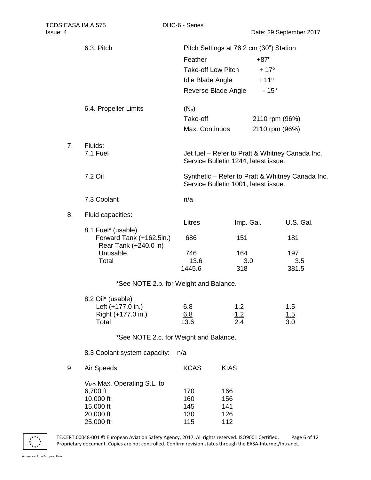|    | 6.3. Pitch                                                                                             | Pitch Settings at 76.2 cm (30") Station<br>Feather<br><b>Take-off Low Pitch</b><br><b>Idle Blade Angle</b><br>Reverse Blade Angle |                                 | $+87^\circ$<br>$+17^{\circ}$<br>$+11^{\circ}$<br>$-15^{\circ}$ |                                                  |
|----|--------------------------------------------------------------------------------------------------------|-----------------------------------------------------------------------------------------------------------------------------------|---------------------------------|----------------------------------------------------------------|--------------------------------------------------|
|    | 6.4. Propeller Limits                                                                                  | $(N_p)$<br>Take-off<br>Max. Continuos                                                                                             |                                 | 2110 rpm (96%)<br>2110 rpm (96%)                               |                                                  |
| 7. | Fluids:<br>7.1 Fuel                                                                                    | Service Bulletin 1244, latest issue.                                                                                              |                                 |                                                                | Jet fuel – Refer to Pratt & Whitney Canada Inc.  |
|    | 7.2 Oil                                                                                                | Service Bulletin 1001, latest issue.                                                                                              |                                 |                                                                | Synthetic - Refer to Pratt & Whitney Canada Inc. |
|    | 7.3 Coolant                                                                                            | n/a                                                                                                                               |                                 |                                                                |                                                  |
| 8. | Fluid capacities:                                                                                      |                                                                                                                                   |                                 |                                                                |                                                  |
|    | 8.1 Fuel* (usable)<br>Forward Tank (+162.5in.)<br>Rear Tank (+240.0 in)                                | Litres<br>686                                                                                                                     | Imp. Gal.<br>151                |                                                                | U.S. Gal.<br>181                                 |
|    | Unusable<br>Total                                                                                      | 746<br><u>13.6</u><br>1445.6                                                                                                      | 164<br><u>3.0</u><br>318        |                                                                | 197<br><u>3.5</u><br>381.5                       |
|    | *See NOTE 2.b. for Weight and Balance.                                                                 |                                                                                                                                   |                                 |                                                                |                                                  |
|    | 8.2 Oil* (usable)<br>Left (+177.0 in.)<br>Right (+177.0 in.)<br>Total                                  | 6.8<br>6.8<br>13.6                                                                                                                | 1.2<br>$\frac{1.2}{2.4}$        |                                                                | 1.5<br>$\frac{1.5}{3.0}$                         |
|    | *See NOTE 2.c. for Weight and Balance.                                                                 |                                                                                                                                   |                                 |                                                                |                                                  |
|    | 8.3 Coolant system capacity:                                                                           | n/a                                                                                                                               |                                 |                                                                |                                                  |
| 9. | Air Speeds:                                                                                            | <b>KCAS</b>                                                                                                                       | <b>KIAS</b>                     |                                                                |                                                  |
|    | V <sub>MO</sub> Max. Operating S.L. to<br>6,700 ft<br>10,000 ft<br>15,000 ft<br>20,000 ft<br>25,000 ft | 170<br>160<br>145<br>130<br>115                                                                                                   | 166<br>156<br>141<br>126<br>112 |                                                                |                                                  |



TE.CERT.00048-001 © European Aviation Safety Agency, 2017. All rights reserved. ISO9001 Certified. Page 6 of 12 Proprietary document. Copies are not controlled. Confirm revision status through the EASA-Internet/Intranet.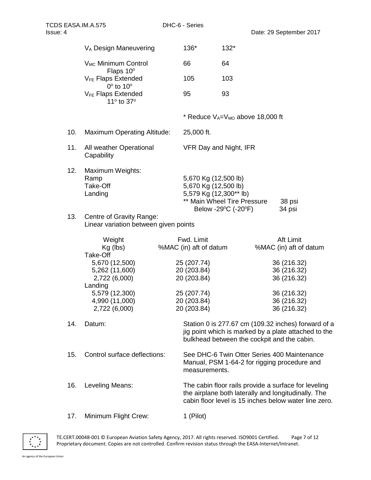| TCDS EASA.IM.A.575<br>Issue: 4    |                                                                        | DHC-6 - Series |                                                                                                       |                     | Date: 29 September 2017                                                                                                                                              |  |
|-----------------------------------|------------------------------------------------------------------------|----------------|-------------------------------------------------------------------------------------------------------|---------------------|----------------------------------------------------------------------------------------------------------------------------------------------------------------------|--|
| V <sub>A</sub> Design Maneuvering |                                                                        |                | 136*                                                                                                  | $132*$              |                                                                                                                                                                      |  |
| V <sub>MC</sub> Minimum Control   |                                                                        |                | 66                                                                                                    | 64                  |                                                                                                                                                                      |  |
|                                   | Flaps 10°<br>V <sub>FE</sub> Flaps Extended<br>$0^\circ$ to $10^\circ$ |                | 105                                                                                                   | 103                 |                                                                                                                                                                      |  |
|                                   | <b>V<sub>FE</sub></b> Flaps Extended<br>11º to 37º                     |                | 95                                                                                                    | 93                  |                                                                                                                                                                      |  |
|                                   |                                                                        |                | * Reduce $V_A=V_{MO}$ above 18,000 ft                                                                 |                     |                                                                                                                                                                      |  |
| 10.                               | <b>Maximum Operating Altitude:</b>                                     |                | 25,000 ft.                                                                                            |                     |                                                                                                                                                                      |  |
| 11.                               | All weather Operational<br>Capability                                  |                | VFR Day and Night, IFR                                                                                |                     |                                                                                                                                                                      |  |
| 12.                               | Maximum Weights:<br>Ramp<br>Take-Off<br>Landing                        |                | 5,670 Kg (12,500 lb)<br>5,670 Kg (12,500 lb)<br>5,579 Kg (12,300** lb)<br>** Main Wheel Tire Pressure | Below -29°C (-20°F) | 38 psi<br>34 psi                                                                                                                                                     |  |
| 13.                               | Centre of Gravity Range:<br>Linear variation between given points      |                |                                                                                                       |                     |                                                                                                                                                                      |  |
|                                   | Weight<br>Kg (lbs)<br>Take-Off                                         |                | Fwd. Limit<br>%MAC (in) aft of datum                                                                  |                     | Aft Limit<br>%MAC (in) aft of datum                                                                                                                                  |  |
|                                   | 5,670 (12,500)                                                         |                | 25 (207.74)                                                                                           |                     | 36 (216.32)                                                                                                                                                          |  |
|                                   | 5,262 (11,600)<br>2,722 (6,000)                                        |                | 20 (203.84)<br>20 (203.84)                                                                            |                     | 36 (216.32)<br>36 (216.32)                                                                                                                                           |  |
|                                   | Landing<br>5,579 (12,300)                                              |                | 25 (207.74)                                                                                           |                     | 36 (216.32)                                                                                                                                                          |  |
|                                   | 4,990 (11,000)                                                         |                | 20 (203.84)                                                                                           |                     | 36 (216.32)                                                                                                                                                          |  |
|                                   | 2,722 (6,000)                                                          |                | 20 (203.84)                                                                                           |                     | 36 (216.32)                                                                                                                                                          |  |
| 14.                               | Datum:                                                                 |                |                                                                                                       |                     | Station 0 is 277.67 cm (109.32 inches) forward of a<br>jig point which is marked by a plate attached to the<br>bulkhead between the cockpit and the cabin.           |  |
| 15.                               | Control surface deflections:                                           |                | measurements.                                                                                         |                     | See DHC-6 Twin Otter Series 400 Maintenance<br>Manual, PSM 1-64-2 for rigging procedure and                                                                          |  |
| 16.                               | Leveling Means:                                                        |                |                                                                                                       |                     | The cabin floor rails provide a surface for leveling<br>the airplane both laterally and longitudinally. The<br>cabin floor level is 15 inches below water line zero. |  |
| 17.                               | Minimum Flight Crew:                                                   |                | 1 (Pilot)                                                                                             |                     |                                                                                                                                                                      |  |



TE.CERT.00048-001 © European Aviation Safety Agency, 2017. All rights reserved. ISO9001 Certified. Page 7 of 12 Proprietary document. Copies are not controlled. Confirm revision status through the EASA-Internet/Intranet.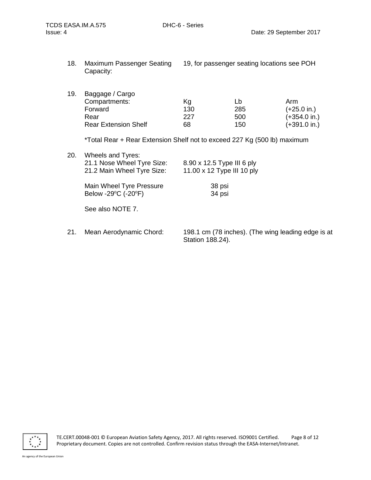18. Maximum Passenger Seating 19, for passenger seating locations see POH Capacity:

| 19. | Baggage / Cargo             |     |     |                        |  |  |
|-----|-----------------------------|-----|-----|------------------------|--|--|
|     | Compartments:               | Κg  | Lb  | Arm                    |  |  |
|     | Forward                     | 130 | 285 | $(+25.0 \text{ in.})$  |  |  |
|     | Rear                        | 227 | 500 | $(+354.0)$ in.)        |  |  |
|     | <b>Rear Extension Shelf</b> | 68  | 150 | $(+391.0 \text{ in.})$ |  |  |

\*Total Rear + Rear Extension Shelf not to exceed 227 Kg (500 lb) maximum

| 20.           | Wheels and Tyres:                                        |                                                                                           |  |
|---------------|----------------------------------------------------------|-------------------------------------------------------------------------------------------|--|
|               | 21.1 Nose Wheel Tyre Size:                               | 8.90 x 12.5 Type III 6 ply                                                                |  |
|               | 21.2 Main Wheel Tyre Size:                               | 11.00 x 12 Type III 10 ply                                                                |  |
|               | Main Wheel Tyre Pressure                                 | 38 psi                                                                                    |  |
|               | Below -29°C (-20°F)                                      | 34 psi                                                                                    |  |
|               | See also NOTE 7.                                         |                                                                                           |  |
|               |                                                          |                                                                                           |  |
| $\sim$ $\sim$ | $M = \cdots$ A since the second $\bigcap_{n=1}^{\infty}$ | $400.4 \ldots$ (70 $5 \cdot 1.1 \cdot 1$ ). (The state of Figure 1, $\alpha$ and $\alpha$ |  |

21. Mean Aerodynamic Chord: 198.1 cm (78 inches). (The wing leading edge is at Station 188.24).

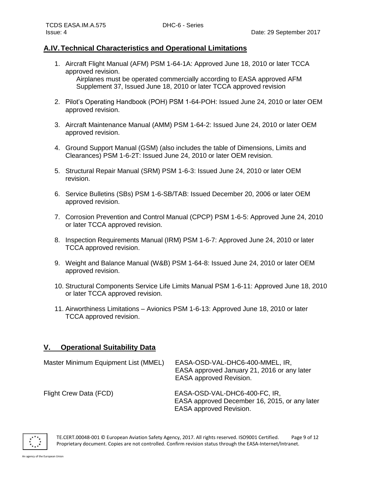#### **A.IV.Technical Characteristics and Operational Limitations**

1. Aircraft Flight Manual (AFM) PSM 1-64-1A: Approved June 18, 2010 or later TCCA approved revision.

Airplanes must be operated commercially according to EASA approved AFM Supplement 37, Issued June 18, 2010 or later TCCA approved revision

- 2. Pilot's Operating Handbook (POH) PSM 1-64-POH: Issued June 24, 2010 or later OEM approved revision.
- 3. Aircraft Maintenance Manual (AMM) PSM 1-64-2: Issued June 24, 2010 or later OEM approved revision.
- 4. Ground Support Manual (GSM) (also includes the table of Dimensions, Limits and Clearances) PSM 1-6-2T: Issued June 24, 2010 or later OEM revision.
- 5. Structural Repair Manual (SRM) PSM 1-6-3: Issued June 24, 2010 or later OEM revision.
- 6. Service Bulletins (SBs) PSM 1-6-SB/TAB: Issued December 20, 2006 or later OEM approved revision.
- 7. Corrosion Prevention and Control Manual (CPCP) PSM 1-6-5: Approved June 24, 2010 or later TCCA approved revision.
- 8. Inspection Requirements Manual (IRM) PSM 1-6-7: Approved June 24, 2010 or later TCCA approved revision.
- 9. Weight and Balance Manual (W&B) PSM 1-64-8: Issued June 24, 2010 or later OEM approved revision.
- 10. Structural Components Service Life Limits Manual PSM 1-6-11: Approved June 18, 2010 or later TCCA approved revision.
- 11. Airworthiness Limitations Avionics PSM 1-6-13: Approved June 18, 2010 or later TCCA approved revision.

#### **V. Operational Suitability Data**

| Master Minimum Equipment List (MMEL) | EASA-OSD-VAL-DHC6-400-MMEL, IR,<br>EASA approved January 21, 2016 or any later<br><b>EASA approved Revision.</b> |
|--------------------------------------|------------------------------------------------------------------------------------------------------------------|
| Flight Crew Data (FCD)               | EASA-OSD-VAL-DHC6-400-FC, IR,<br>EASA approved December 16, 2015, or any later<br>EASA approved Revision.        |



TE.CERT.00048-001 © European Aviation Safety Agency, 2017. All rights reserved. ISO9001 Certified. Page 9 of 12 Proprietary document. Copies are not controlled. Confirm revision status through the EASA-Internet/Intranet.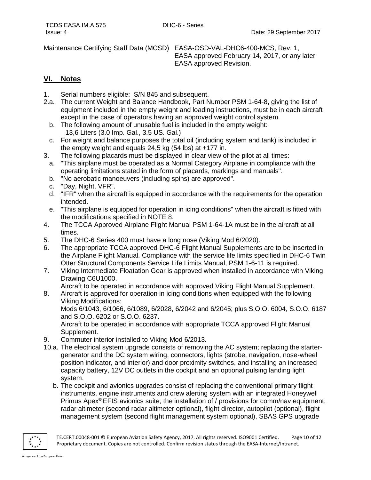Maintenance Certifying Staff Data (MCSD) EASA-OSD-VAL-DHC6-400-MCS, Rev. 1,

EASA approved February 14, 2017, or any later EASA approved Revision.

#### **VI. Notes**

- 1. Serial numbers eligible: S/N 845 and subsequent.
- 2.a. The current Weight and Balance Handbook, Part Number PSM 1-64-8, giving the list of equipment included in the empty weight and loading instructions, must be in each aircraft except in the case of operators having an approved weight control system.
	- b. The following amount of unusable fuel is included in the empty weight: 13,6 Liters (3.0 Imp. Gal., 3.5 US. Gal.)
	- c. For weight and balance purposes the total oil (including system and tank) is included in the empty weight and equals 24,5 kg (54 lbs) at +177 in.
- 3. The following placards must be displayed in clear view of the pilot at all times:
	- a. "This airplane must be operated as a Normal Category Airplane in compliance with the operating limitations stated in the form of placards, markings and manuals".
	- b. "No aerobatic manoeuvers (including spins) are approved".
	- c. "Day, Night, VFR".
	- d. "IFR" when the aircraft is equipped in accordance with the requirements for the operation intended.
	- e. "This airplane is equipped for operation in icing conditions" when the aircraft is fitted with the modifications specified in NOTE 8.
- 4. The TCCA Approved Airplane Flight Manual PSM 1-64-1A must be in the aircraft at all times.
- 5. The DHC-6 Series 400 must have a long nose (Viking Mod 6/2020).
- 6. The appropriate TCCA approved DHC-6 Flight Manual Supplements are to be inserted in the Airplane Flight Manual. Compliance with the service life limits specified in DHC-6 Twin Otter Structural Components Service Life Limits Manual, PSM 1-6-11 is required.
- 7. Viking Intermediate Floatation Gear is approved when installed in accordance with Viking Drawing C6U1000.
	- Aircraft to be operated in accordance with approved Viking Flight Manual Supplement.
- 8. Aircraft is approved for operation in icing conditions when equipped with the following Viking Modifications:

Mods 6/1043, 6/1066, 6/1089, 6/2028, 6/2042 and 6/2045; plus S.O.O. 6004, S.O.O. 6187 and S.O.O. 6202 or S.O.O. 6237.

Aircraft to be operated in accordance with appropriate TCCA approved Flight Manual Supplement.

- 9. Commuter interior installed to Viking Mod 6/2013.
- 10.a. The electrical system upgrade consists of removing the AC system; replacing the startergenerator and the DC system wiring, connectors, lights (strobe, navigation, nose-wheel position indicator, and interior) and door proximity switches, and installing an increased capacity battery, 12V DC outlets in the cockpit and an optional pulsing landing light system.
	- b. The cockpit and avionics upgrades consist of replacing the conventional primary flight instruments, engine instruments and crew alerting system with an integrated Honeywell Primus Apex® EFIS avionics suite; the installation of / provisions for comm/nav equipment, radar altimeter (second radar altimeter optional), flight director, autopilot (optional), flight management system (second flight management system optional), SBAS GPS upgrade

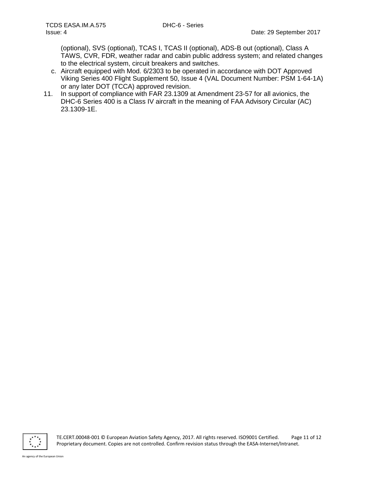(optional), SVS (optional), TCAS I, TCAS II (optional), ADS-B out (optional), Class A TAWS, CVR, FDR, weather radar and cabin public address system; and related changes to the electrical system, circuit breakers and switches.

- c. Aircraft equipped with Mod. 6/2303 to be operated in accordance with DOT Approved Viking Series 400 Flight Supplement 50, Issue 4 (VAL Document Number: PSM 1-64-1A) or any later DOT (TCCA) approved revision.
- 11. In support of compliance with FAR 23.1309 at Amendment 23-57 for all avionics, the DHC-6 Series 400 is a Class IV aircraft in the meaning of FAA Advisory Circular (AC) 23.1309-1E.